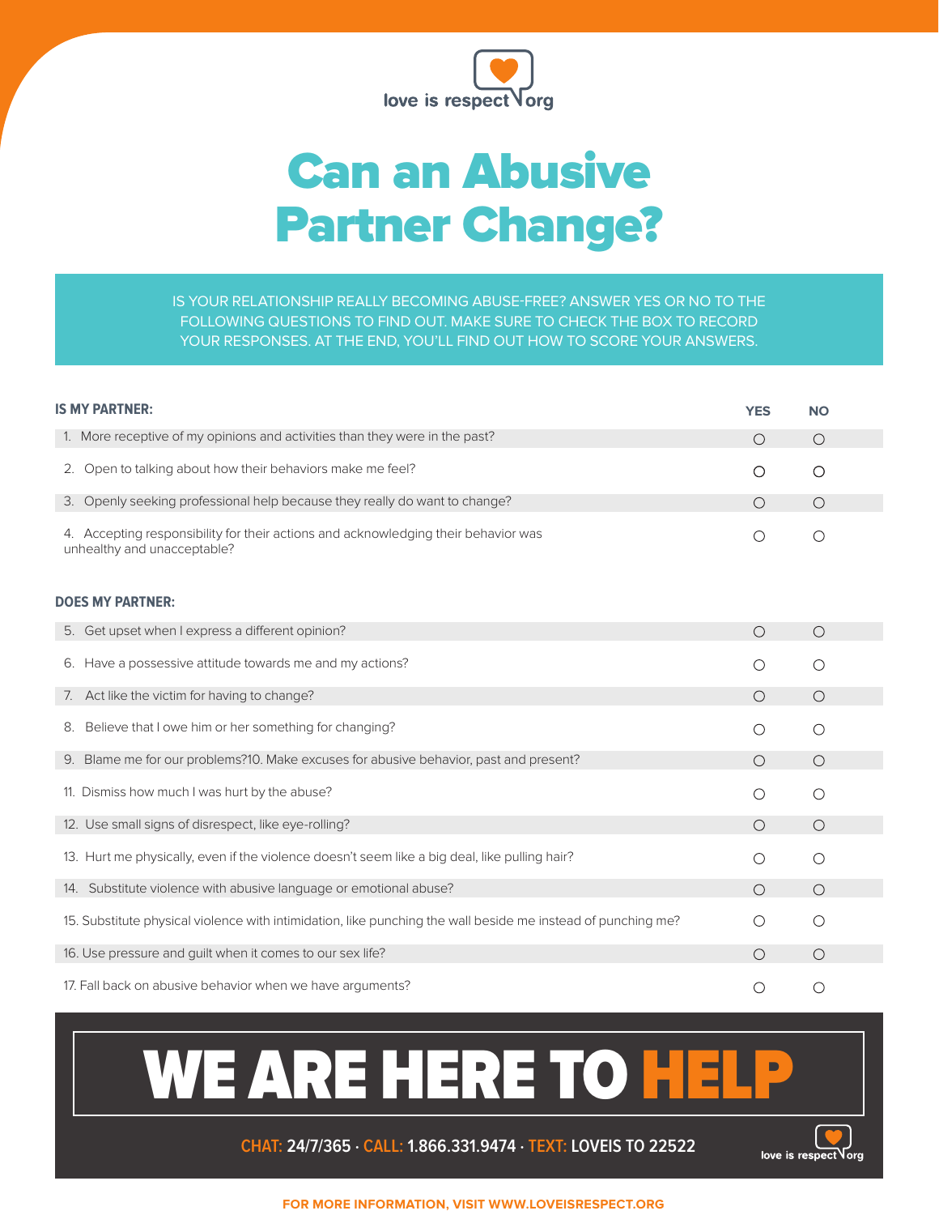

## Can an Abusive Partner Change?

IS YOUR RELATIONSHIP REALLY BECOMING ABUSE-FREE? ANSWER YES OR NO TO THE FOLLOWING QUESTIONS TO FIND OUT. MAKE SURE TO CHECK THE BOX TO RECORD YOUR RESPONSES. AT THE END, YOU'LL FIND OUT HOW TO SCORE YOUR ANSWERS.

| <b>IS MY PARTNER:</b>                                                                                             | <b>YES</b> | NΟ      |
|-------------------------------------------------------------------------------------------------------------------|------------|---------|
| 1. More receptive of my opinions and activities than they were in the past?                                       | $\circ$    | $\circ$ |
| Open to talking about how their behaviors make me feel?<br>2.                                                     | $\circ$    | $\circ$ |
| 3. Openly seeking professional help because they really do want to change?                                        | $\circ$    | $\circ$ |
| 4. Accepting responsibility for their actions and acknowledging their behavior was<br>unhealthy and unacceptable? | O          | $\circ$ |
| <b>DOES MY PARTNER:</b>                                                                                           |            |         |
| 5. Get upset when I express a different opinion?                                                                  | $\bigcirc$ | $\circ$ |
| Have a possessive attitude towards me and my actions?<br>6.                                                       | $\circ$    | $\circ$ |
| 7. Act like the victim for having to change?                                                                      | $\bigcirc$ | $\circ$ |
| Believe that I owe him or her something for changing?<br>8.                                                       | O          | $\circ$ |
| 9. Blame me for our problems?10. Make excuses for abusive behavior, past and present?                             | $\circ$    | $\circ$ |
| 11. Dismiss how much I was hurt by the abuse?                                                                     | O          | $\circ$ |
| 12. Use small signs of disrespect, like eye-rolling?                                                              | $\circ$    | $\circ$ |
| 13. Hurt me physically, even if the violence doesn't seem like a big deal, like pulling hair?                     | O          | $\circ$ |
| 14. Substitute violence with abusive language or emotional abuse?                                                 | Ο          | $\circ$ |
| 15. Substitute physical violence with intimidation, like punching the wall beside me instead of punching me?      | O          | $\circ$ |
| 16. Use pressure and guilt when it comes to our sex life?                                                         | $\bigcirc$ | $\circ$ |
| 17. Fall back on abusive behavior when we have arguments?                                                         | Ο          | $\circ$ |

## WE ARE HERE TO HELP

**CHAT: 24/7/365 ∙ CALL: 1.866.331.9474 ∙ TEXT: LOVEIS TO 22522**



**FOR MORE INFORMATION, VISIT WWW.LOVEISRESPECT.ORG**